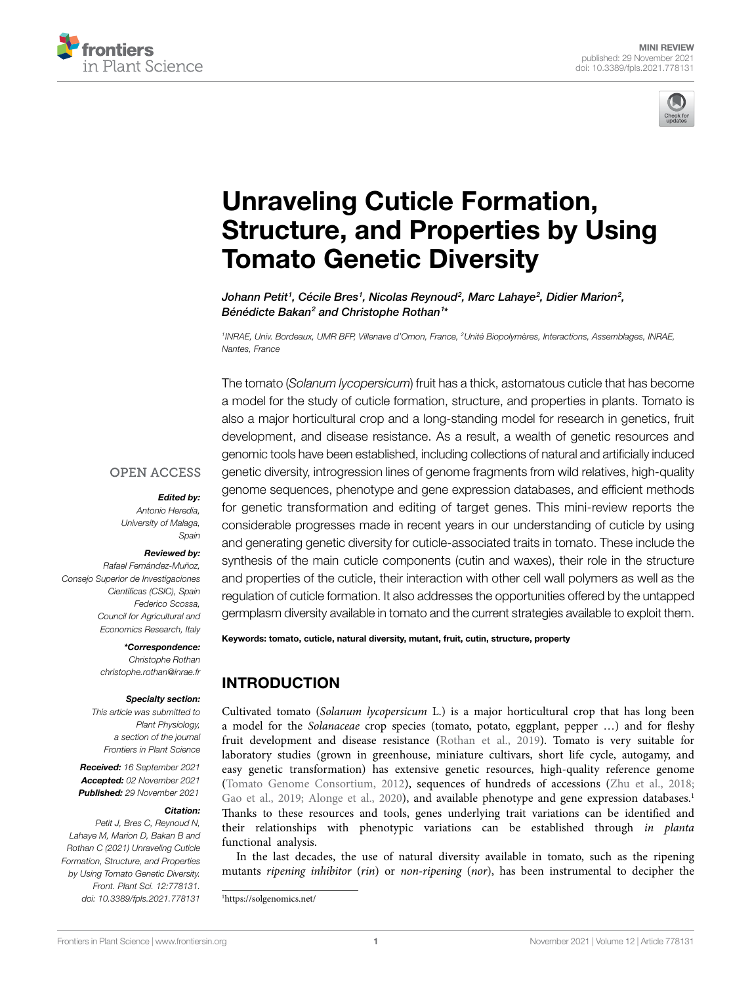



# [Unraveling Cuticle Formation,](https://www.frontiersin.org/articles/10.3389/fpls.2021.778131/full)  [Structure, and Properties by Using](https://www.frontiersin.org/articles/10.3389/fpls.2021.778131/full)  [Tomato Genetic Diversity](https://www.frontiersin.org/articles/10.3389/fpls.2021.778131/full)

Johann Petit<sup>1</sup>, Cécile Bres<sup>1</sup>, Nicolas Reynoud<sup>2</sup>, Marc Lahaye<sup>2</sup>, Didier Marion<sup>2</sup>, *Bénédicte Bakan2 and Christophe Rothan1 \**

*1INRAE, Univ. Bordeaux, UMR BFP, Villenave d'Ornon, France, 2Unité Biopolymères, Interactions, Assemblages, INRAE, Nantes, France*

The tomato (*Solanum lycopersicum*) fruit has a thick, astomatous cuticle that has become a model for the study of cuticle formation, structure, and properties in plants. Tomato is also a major horticultural crop and a long-standing model for research in genetics, fruit development, and disease resistance. As a result, a wealth of genetic resources and genomic tools have been established, including collections of natural and artificially induced genetic diversity, introgression lines of genome fragments from wild relatives, high-quality genome sequences, phenotype and gene expression databases, and efficient methods for genetic transformation and editing of target genes. This mini-review reports the considerable progresses made in recent years in our understanding of cuticle by using and generating genetic diversity for cuticle-associated traits in tomato. These include the synthesis of the main cuticle components (cutin and waxes), their role in the structure and properties of the cuticle, their interaction with other cell wall polymers as well as the regulation of cuticle formation. It also addresses the opportunities offered by the untapped germplasm diversity available in tomato and the current strategies available to exploit them.

## **OPEN ACCESS**

### *Edited by:*

*Antonio Heredia, University of Malaga, Spain*

### *Reviewed by:*

*Rafael Fernández-Muñoz, Consejo Superior de Investigaciones Científicas (CSIC), Spain Federico Scossa, Council for Agricultural and Economics Research, Italy*

> *\*Correspondence: Christophe Rothan [christophe.rothan@inrae.fr](mailto:christophe.rothan@inrae.fr)*

#### *Specialty section:*

*This article was submitted to Plant Physiology, a section of the journal Frontiers in Plant Science*

*Received: 16 September 2021 Accepted: 02 November 2021 Published: 29 November 2021*

### *Citation:*

*Petit J, Bres C, Reynoud N, Lahaye M, Marion D, Bakan B and Rothan C (2021) Unraveling Cuticle Formation, Structure, and Properties by Using Tomato Genetic Diversity. Front. Plant Sci. 12:778131. [doi: 10.3389/fpls.2021.778131](https://doi.org/10.3389/fpls.2021.778131)*

Keywords: tomato, cuticle, natural diversity, mutant, fruit, cutin, structure, property

# INTRODUCTION

Cultivated tomato (*Solanum lycopersicum* L.) is a major horticultural crop that has long been a model for the *Solanaceae* crop species (tomato, potato, eggplant, pepper …) and for fleshy fruit development and disease resistance ([Rothan et al., 2019\)](#page-8-0). Tomato is very suitable for laboratory studies (grown in greenhouse, miniature cultivars, short life cycle, autogamy, and easy genetic transformation) has extensive genetic resources, high-quality reference genome [\(Tomato Genome Consortium, 2012](#page-9-0)), sequences of hundreds of accessions [\(Zhu et al., 2018;](#page-9-1) Gao et al., 2019; Alonge et al., 2020), and available phenotype and gene expression databases.<sup>1</sup> Thanks to these resources and tools, genes underlying trait variations can be identified and their relationships with phenotypic variations can be established through *in planta* functional analysis.

In the last decades, the use of natural diversity available in tomato, such as the ripening mutants *ripening inhibitor* (*rin*) or *non-ripening* (*nor*), has been instrumental to decipher the

<span id="page-0-0"></span><sup>1</sup> <https://solgenomics.net/>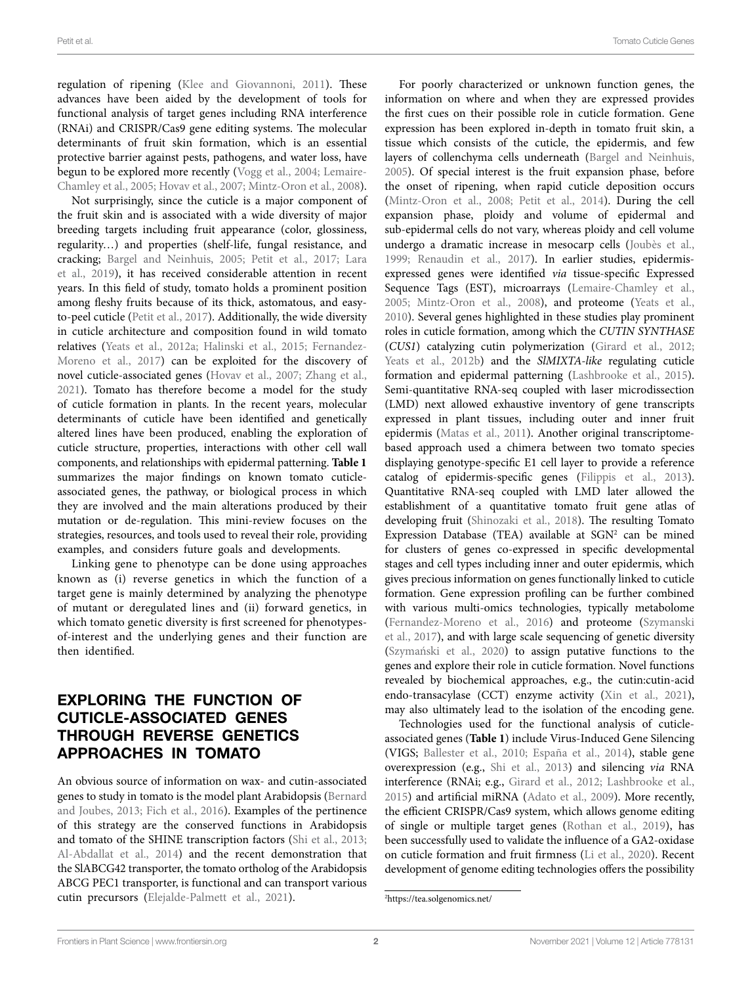regulation of ripening [\(Klee and Giovannoni, 2011\)](#page-7-1). These advances have been aided by the development of tools for functional analysis of target genes including RNA interference (RNAi) and CRISPR/Cas9 gene editing systems. The molecular determinants of fruit skin formation, which is an essential protective barrier against pests, pathogens, and water loss, have begun to be explored more recently ([Vogg et al., 2004](#page-9-2); [Lemaire-](#page-8-1)[Chamley et al., 2005;](#page-8-1) [Hovav et al., 2007](#page-7-2); [Mintz-Oron et al., 2008](#page-8-2)).

Not surprisingly, since the cuticle is a major component of the fruit skin and is associated with a wide diversity of major breeding targets including fruit appearance (color, glossiness, regularity…) and properties (shelf-life, fungal resistance, and cracking; [Bargel and Neinhuis, 2005](#page-6-1); [Petit et al., 2017;](#page-8-3) [Lara](#page-8-4)  [et al., 2019\)](#page-8-4), it has received considerable attention in recent years. In this field of study, tomato holds a prominent position among fleshy fruits because of its thick, astomatous, and easyto-peel cuticle ([Petit et al., 2017\)](#page-8-3). Additionally, the wide diversity in cuticle architecture and composition found in wild tomato relatives ([Yeats et al., 2012a](#page-9-3); [Halinski et al., 2015](#page-7-3); [Fernandez-](#page-7-4)[Moreno et al., 2017](#page-7-4)) can be exploited for the discovery of novel cuticle-associated genes ([Hovav et al., 2007;](#page-7-2) [Zhang et al.,](#page-9-4)  [2021\)](#page-9-4). Tomato has therefore become a model for the study of cuticle formation in plants. In the recent years, molecular determinants of cuticle have been identified and genetically altered lines have been produced, enabling the exploration of cuticle structure, properties, interactions with other cell wall components, and relationships with epidermal patterning. **[Table 1](#page-2-0)** summarizes the major findings on known tomato cuticleassociated genes, the pathway, or biological process in which they are involved and the main alterations produced by their mutation or de-regulation. This mini-review focuses on the strategies, resources, and tools used to reveal their role, providing examples, and considers future goals and developments.

Linking gene to phenotype can be done using approaches known as (i) reverse genetics in which the function of a target gene is mainly determined by analyzing the phenotype of mutant or deregulated lines and (ii) forward genetics, in which tomato genetic diversity is first screened for phenotypesof-interest and the underlying genes and their function are then identified.

# EXPLORING THE FUNCTION OF CUTICLE-ASSOCIATED GENES THROUGH REVERSE GENETICS APPROACHES IN TOMATO

An obvious source of information on wax- and cutin-associated genes to study in tomato is the model plant Arabidopsis ([Bernard](#page-7-5)  [and Joubes, 2013;](#page-7-5) [Fich et al., 2016](#page-7-6)). Examples of the pertinence of this strategy are the conserved functions in Arabidopsis and tomato of the SHINE transcription factors ([Shi et al., 2013](#page-8-5); [Al-Abdallat et al., 2014](#page-6-2)) and the recent demonstration that the SlABCG42 transporter, the tomato ortholog of the Arabidopsis ABCG PEC1 transporter, is functional and can transport various cutin precursors [\(Elejalde-Palmett et al., 2021](#page-7-7)).

For poorly characterized or unknown function genes, the information on where and when they are expressed provides the first cues on their possible role in cuticle formation. Gene expression has been explored in-depth in tomato fruit skin, a tissue which consists of the cuticle, the epidermis, and few layers of collenchyma cells underneath ([Bargel and Neinhuis,](#page-6-1)  [2005\)](#page-6-1). Of special interest is the fruit expansion phase, before the onset of ripening, when rapid cuticle deposition occurs [\(Mintz-Oron et al., 2008](#page-8-2); [Petit et al., 2014](#page-8-6)). During the cell expansion phase, ploidy and volume of epidermal and sub-epidermal cells do not vary, whereas ploidy and cell volume undergo a dramatic increase in mesocarp cells ([Joubès et al.,](#page-7-8)  [1999;](#page-7-8) [Renaudin et al., 2017](#page-8-7)). In earlier studies, epidermisexpressed genes were identified *via* tissue-specific Expressed Sequence Tags (EST), microarrays (Lemaire-Chamley et al., [2005;](#page-8-1) [Mintz-Oron et al., 2008\)](#page-8-2), and proteome ([Yeats et al.,](#page-9-5)  [2010\)](#page-9-5). Several genes highlighted in these studies play prominent roles in cuticle formation, among which the *CUTIN SYNTHASE* (*CUS1*) catalyzing cutin polymerization [\(Girard et al., 2012;](#page-7-9) [Yeats et al., 2012b](#page-9-6)) and the *SlMIXTA-like* regulating cuticle formation and epidermal patterning [\(Lashbrooke et al., 2015\)](#page-8-8). Semi-quantitative RNA-seq coupled with laser microdissection (LMD) next allowed exhaustive inventory of gene transcripts expressed in plant tissues, including outer and inner fruit epidermis ([Matas et al., 2011](#page-8-9)). Another original transcriptomebased approach used a chimera between two tomato species displaying genotype-specific E1 cell layer to provide a reference catalog of epidermis-specific genes ([Filippis et al., 2013\)](#page-7-10). Quantitative RNA-seq coupled with LMD later allowed the establishment of a quantitative tomato fruit gene atlas of developing fruit [\(Shinozaki et al., 2018](#page-8-10)). The resulting Tomato Expression Database (TEA) available at  $SGN<sup>2</sup>$  can be mined for clusters of genes co-expressed in specific developmental stages and cell types including inner and outer epidermis, which gives precious information on genes functionally linked to cuticle formation. Gene expression profiling can be further combined with various multi-omics technologies, typically metabolome [\(Fernandez-Moreno et al., 2016\)](#page-7-11) and proteome ([Szymanski](#page-9-7)  [et al., 2017](#page-9-7)), and with large scale sequencing of genetic diversity [\(Szymański et al., 2020](#page-8-11)) to assign putative functions to the genes and explore their role in cuticle formation. Novel functions revealed by biochemical approaches, e.g., the cutin:cutin-acid endo-transacylase (CCT) enzyme activity ([Xin et al., 2021\)](#page-9-8), may also ultimately lead to the isolation of the encoding gene.

Technologies used for the functional analysis of cuticleassociated genes (**[Table 1](#page-2-0)**) include Virus-Induced Gene Silencing (VIGS; [Ballester et al., 2010;](#page-6-3) [España et al., 2014](#page-7-12)), stable gene overexpression (e.g., [Shi et al., 2013](#page-8-5)) and silencing *via* RNA interference (RNAi; e.g., [Girard et al., 2012;](#page-7-9) [Lashbrooke et al.,](#page-8-8)  [2015\)](#page-8-8) and artificial miRNA [\(Adato et al., 2009](#page-6-4)). More recently, the efficient CRISPR/Cas9 system, which allows genome editing of single or multiple target genes ([Rothan et al., 2019](#page-8-0)), has been successfully used to validate the influence of a GA2-oxidase on cuticle formation and fruit firmness ([Li et al., 2020](#page-8-12)). Recent development of genome editing technologies offers the possibility

<span id="page-1-0"></span><sup>2</sup> <https://tea.solgenomics.net/>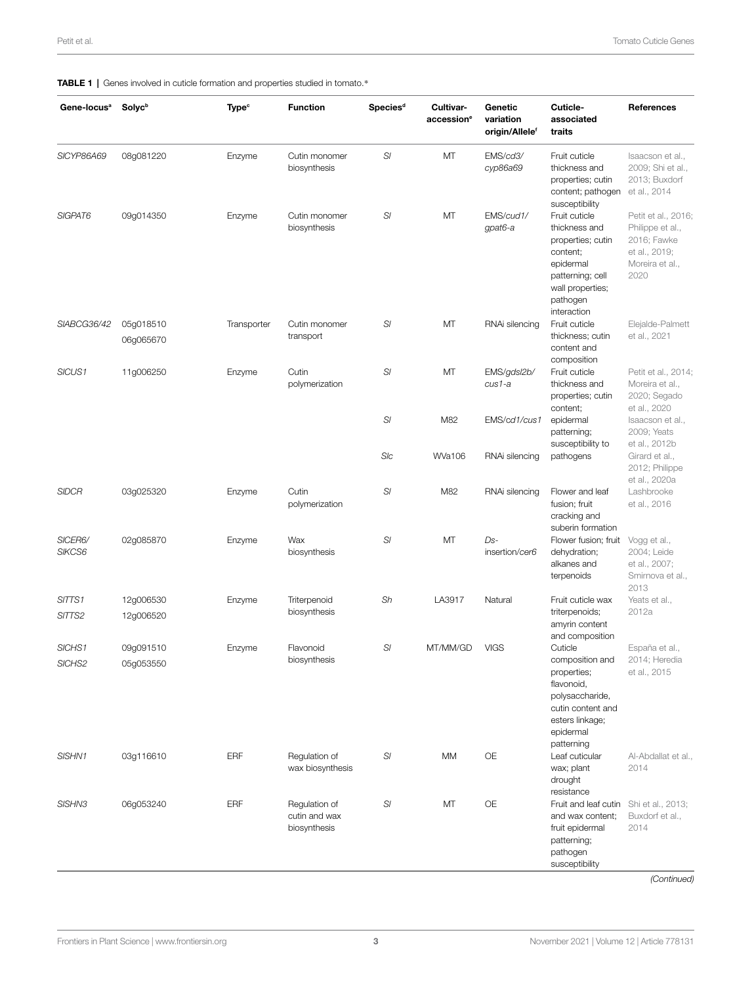## <span id="page-2-0"></span>TABLE 1 | Genes involved in cuticle formation and properties studied in tomato.\*

| Gene-locus <sup>a</sup> | <b>Solyc</b> <sup>b</sup> | <b>Type<sup>c</sup></b> | <b>Function</b>                                | Species <sup>d</sup> | Cultivar-<br>accession <sup>e</sup> | Genetic<br>variation<br>origin/Allele <sup>f</sup> | Cuticle-<br>associated<br>traits                                                                                                                                 | References                                                                                                                 |
|-------------------------|---------------------------|-------------------------|------------------------------------------------|----------------------|-------------------------------------|----------------------------------------------------|------------------------------------------------------------------------------------------------------------------------------------------------------------------|----------------------------------------------------------------------------------------------------------------------------|
| SICYP86A69              | 08g081220                 | Enzyme                  | Cutin monomer<br>biosynthesis                  | SI                   | MT                                  | EMS/cd3/<br>сур86а69                               | Fruit cuticle<br>thickness and<br>properties; cutin<br>content; pathogen<br>susceptibility                                                                       | Isaacson et al.,<br>2009; Shi et al.,<br>2013; Buxdorf<br>et al., 2014                                                     |
| SIGPAT6                 | 09g014350                 | Enzyme                  | Cutin monomer<br>biosynthesis                  | SI                   | MT                                  | EMS/cud1/<br>gpat6-a                               | Fruit cuticle<br>thickness and<br>properties; cutin<br>content;<br>epidermal<br>patterning; cell<br>wall properties;<br>pathogen<br>interaction                  | Petit et al., 2016;<br>Philippe et al.,<br>2016; Fawke<br>et al., 2019;<br>Moreira et al.,<br>2020                         |
| SIABCG36/42             | 05g018510<br>06g065670    | Transporter             | Cutin monomer<br>transport                     | SI                   | MT                                  | RNAi silencing                                     | Fruit cuticle<br>thickness; cutin<br>content and                                                                                                                 | Elejalde-Palmett<br>et al., 2021                                                                                           |
| SICUS1                  | 11g006250                 | Enzyme                  | Cutin<br>polymerization                        | SI                   | MT                                  | EMS/gdsl2b/<br>cus1-a                              | composition<br>Fruit cuticle<br>thickness and<br>properties; cutin<br>content;<br>epidermal<br>patterning;<br>susceptibility to<br>pathogens                     | Petit et al., 2014;<br>Moreira et al.,<br>2020; Segado<br>et al., 2020<br>Isaacson et al.,<br>2009; Yeats<br>et al., 2012b |
|                         |                           |                         |                                                | SI                   | M82                                 | EMS/cd1/cus1                                       |                                                                                                                                                                  |                                                                                                                            |
|                         |                           |                         |                                                | SIc                  | <b>WVa106</b>                       | RNAi silencing                                     |                                                                                                                                                                  | Girard et al.,<br>2012; Philippe<br>et al., 2020a                                                                          |
| <b>SIDCR</b>            | 03g025320                 | Enzyme                  | Cutin<br>polymerization                        | SI                   | M82                                 | RNAi silencing                                     | Flower and leaf<br>fusion; fruit<br>cracking and<br>suberin formation                                                                                            | Lashbrooke<br>et al., 2016                                                                                                 |
| SICER6/<br>SIKCS6       | 02g085870                 | Enzyme                  | Wax<br>biosynthesis                            | SI                   | MT                                  | Ds-<br>insertion/cer6                              | Flower fusion; fruit<br>dehydration;<br>alkanes and<br>terpenoids                                                                                                | Vogg et al.,<br>2004; Leide<br>et al., 2007;<br>Smirnova et al.,<br>2013                                                   |
| SITTS1<br>SITTS2        | 12g006530<br>12g006520    | Enzyme                  | Triterpenoid<br>biosynthesis                   | Sh                   | LA3917                              | Natural                                            | Fruit cuticle wax<br>triterpenoids;<br>amyrin content                                                                                                            | Yeats et al.,<br>2012a                                                                                                     |
| SICHS1<br>SICHS2        | 09g091510<br>05g053550    | Enzyme                  | Flavonoid<br>biosynthesis                      | SI                   | MT/MM/GD                            | <b>VIGS</b>                                        | and composition<br>Cuticle<br>composition and<br>properties;<br>flavonoid,<br>polysaccharide,<br>cutin content and<br>esters linkage;<br>epidermal<br>patterning | España et al.,<br>2014; Heredia<br>et al., 2015                                                                            |
| SISHN1                  | 03g116610                 | ERF                     | Regulation of<br>wax biosynthesis              | SI                   | MM                                  | OE                                                 | Leaf cuticular<br>wax; plant<br>drought<br>resistance                                                                                                            | Al-Abdallat et al.,<br>2014                                                                                                |
| SISHN3                  | 06g053240                 | ERF                     | Regulation of<br>cutin and wax<br>biosynthesis | SI                   | MT                                  | OE                                                 | Fruit and leaf cutin Shi et al., 2013;<br>and wax content:<br>fruit epidermal<br>patterning;<br>pathogen<br>susceptibility                                       | Buxdorf et al.,<br>2014                                                                                                    |

*(Continued)*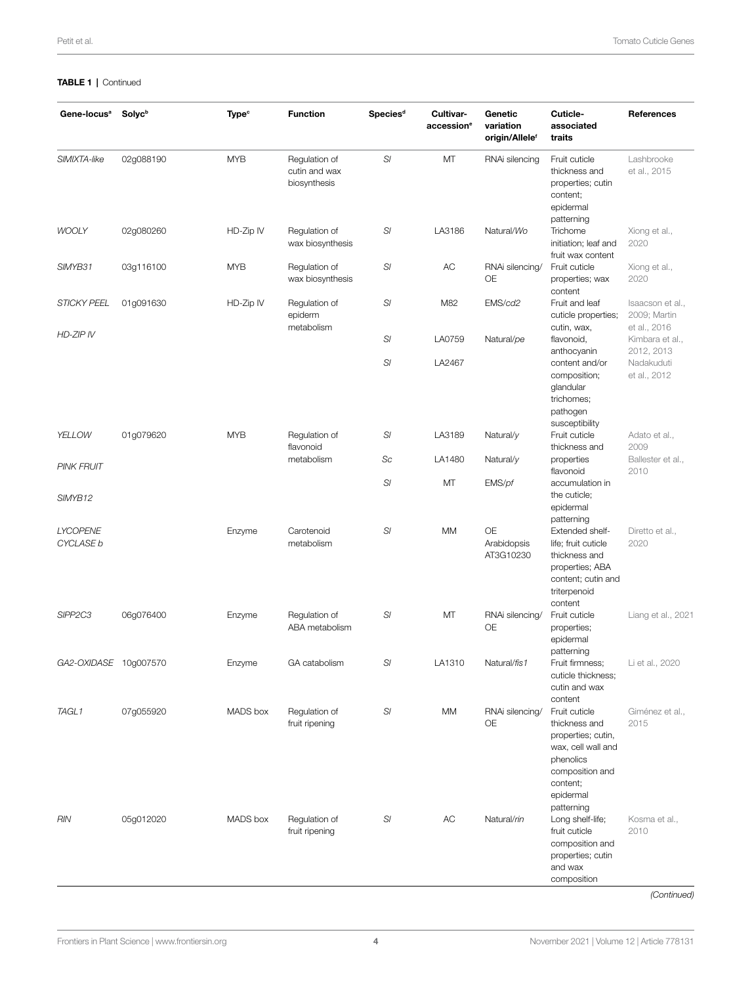## TABLE 1 | Continued

| Gene-locus <sup>a</sup>      | <b>Solyc</b> <sup>b</sup> | <b>Type<sup>c</sup></b> | <b>Function</b>                                | Species <sup>d</sup>  | Cultivar-<br>accession <sup>e</sup> | Genetic<br>variation<br>origin/Allele <sup>f</sup> | Cuticle-<br>associated<br>traits                                                                                                                  | References                                                  |
|------------------------------|---------------------------|-------------------------|------------------------------------------------|-----------------------|-------------------------------------|----------------------------------------------------|---------------------------------------------------------------------------------------------------------------------------------------------------|-------------------------------------------------------------|
| SIMIXTA-like                 | 02g088190                 | <b>MYB</b>              | Regulation of<br>cutin and wax<br>biosynthesis | SI                    | MT                                  | RNAi silencing                                     | Fruit cuticle<br>thickness and<br>properties; cutin<br>content;<br>epidermal<br>patterning                                                        | Lashbrooke<br>et al., 2015                                  |
| <b>WOOLY</b>                 | 02g080260                 | HD-Zip IV               | Regulation of<br>wax biosynthesis              | $\mathbb{S}^{\prime}$ | LA3186                              | Natural/Wo                                         | Trichome<br>initiation; leaf and<br>fruit wax content                                                                                             | Xiong et al.,<br>2020                                       |
| SIMYB31                      | 03g116100                 | <b>MYB</b>              | Regulation of<br>wax biosynthesis              | SI                    | AC                                  | RNAi silencing/<br>OE                              | Fruit cuticle<br>properties; wax<br>content                                                                                                       | Xiong et al.,<br>2020                                       |
| <b>STICKY PEEL</b>           | 01g091630                 | HD-Zip IV               | Regulation of<br>epiderm<br>metabolism         | SI                    | M82                                 | EMS/cd2                                            | Fruit and leaf<br>cuticle properties;<br>cutin, wax,                                                                                              | Isaacson et al.,<br>2009; Martin<br>et al., 2016            |
| HD-ZIP IV                    |                           |                         |                                                | SI                    | LA0759                              | Natural/pe                                         | flavonoid,<br>anthocyanin<br>content and/or<br>composition;<br>glandular<br>trichomes;<br>pathogen<br>susceptibility                              | Kimbara et al.,<br>2012, 2013<br>Nadakuduti<br>et al., 2012 |
|                              |                           |                         |                                                | SI                    | LA2467                              |                                                    |                                                                                                                                                   |                                                             |
| YELLOW                       | 01g079620                 | <b>MYB</b>              | Regulation of<br>flavonoid                     | SI                    | LA3189                              | Natural/y                                          | Fruit cuticle<br>thickness and                                                                                                                    | Adato et al.,<br>2009                                       |
| <b>PINK FRUIT</b>            |                           |                         | metabolism                                     | Sc                    | LA1480                              | Natural/y                                          | properties<br>flavonoid                                                                                                                           | Ballester et al.,<br>2010                                   |
| SIMYB12                      |                           |                         |                                                | SI                    | MT                                  | EMS/pf                                             | accumulation in<br>the cuticle;<br>epidermal<br>patterning                                                                                        |                                                             |
| <b>LYCOPENE</b><br>CYCLASE b |                           | Enzyme                  | Carotenoid<br>metabolism                       | SI                    | <b>MM</b>                           | <b>OE</b><br>Arabidopsis<br>AT3G10230              | Extended shelf-<br>life; fruit cuticle<br>thickness and<br>properties; ABA<br>content; cutin and<br>triterpenoid<br>content                       | Diretto et al.,<br>2020                                     |
| SIPP <sub>2C3</sub>          | 06g076400                 | Enzyme                  | Regulation of<br>ABA metabolism                | SI                    | MT                                  | RNAi silencing/<br>OE                              | Fruit cuticle<br>properties;<br>epidermal<br>patterning                                                                                           | Liang et al., 2021                                          |
| GA2-OXIDASE 10g007570        |                           | Enzvme                  | GA catabolism                                  | SI                    | LA1310                              | Natural/fis1                                       | Fruit firmness;<br>cuticle thickness;<br>cutin and wax<br>content                                                                                 | Li et al., 2020                                             |
| TAGL1                        | 07g055920                 | MADS box                | Regulation of<br>fruit ripening                | SI                    | <b>MM</b>                           | RNAi silencing/<br>OE                              | Fruit cuticle<br>thickness and<br>properties; cutin,<br>wax, cell wall and<br>phenolics<br>composition and<br>content;<br>epidermal<br>patterning | Giménez et al.,<br>2015                                     |
| RIN                          | 05g012020                 | MADS box                | Regulation of<br>fruit ripening                | SI                    | AC                                  | Natural/rin                                        | Long shelf-life;<br>fruit cuticle<br>composition and<br>properties; cutin<br>and wax<br>composition                                               | Kosma et al.,<br>2010<br>(Continued)                        |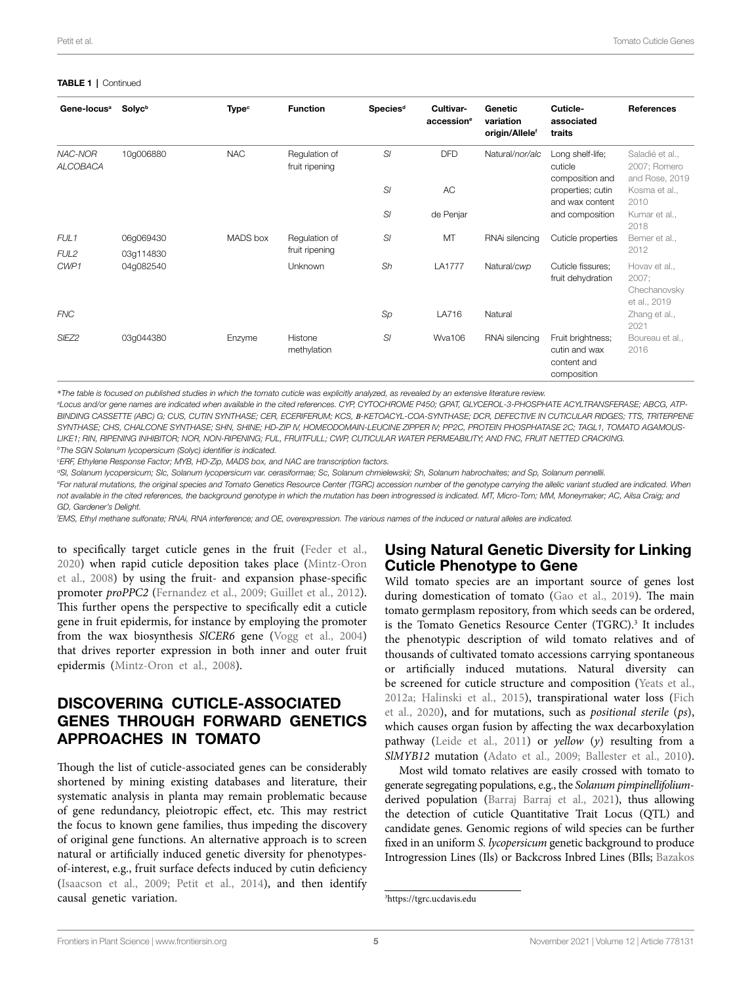### TABLE 1 | Continued

| Gene-locus <sup>a</sup>              | <b>Solyc</b> <sup>b</sup> | <b>Type<sup>c</sup></b> | <b>Function</b>                 | Species <sup>d</sup> | Cultivar-<br>accession <sup>e</sup> | Genetic<br>variation<br>origin/Allele <sup>f</sup> | Cuticle-<br>associated<br>traits                                 | <b>References</b>                                      |
|--------------------------------------|---------------------------|-------------------------|---------------------------------|----------------------|-------------------------------------|----------------------------------------------------|------------------------------------------------------------------|--------------------------------------------------------|
| NAC-NOR<br>ALCOBACA                  | 10g006880                 | <b>NAC</b>              | Regulation of<br>fruit ripening | SI                   | <b>DFD</b>                          | Natural/nor/alc                                    | Long shelf-life;<br>cuticle<br>composition and                   | Saladié et al.,<br>2007; Romero<br>and Rose, 2019      |
|                                      |                           |                         |                                 | SI                   | AC                                  |                                                    | properties; cutin<br>and wax content                             | Kosma et al.,<br>2010                                  |
|                                      |                           |                         |                                 | SI                   | de Penjar                           |                                                    | and composition                                                  | Kumar et al.,<br>2018                                  |
| FUL <sub>1</sub><br>FUL <sub>2</sub> | 06g069430<br>03q114830    | MADS box                | Regulation of<br>fruit ripening | SI                   | MT                                  | RNAi silencing                                     | Cuticle properties                                               | Bemer et al.,<br>2012                                  |
| CWP <sub>1</sub>                     | 04g082540                 |                         | <b>Unknown</b>                  | Sh                   | <b>LA1777</b>                       | Natural/cwp                                        | Cuticle fissures;<br>fruit dehydration                           | Hovav et al.,<br>2007;<br>Chechanovsky<br>et al., 2019 |
| <b>FNC</b>                           |                           |                         |                                 | Sp                   | LA716                               | Natural                                            |                                                                  | Zhang et al.,<br>2021                                  |
| SIEZ2                                | 03g044380                 | Enzyme                  | Histone<br>methylation          | SI                   | <b>Wya106</b>                       | RNAi silencing                                     | Fruit brightness;<br>cutin and wax<br>content and<br>composition | Boureau et al.,<br>2016                                |

\**The table is focused on published studies in which the tomato cuticle was explicitly analyzed, as revealed by an extensive literature review.*

*a Locus and/or gene names are indicated when available in the cited references. CYP, CYTOCHROME P450; GPAT, GLYCEROL-3-PHOSPHATE ACYLTRANSFERASE; ABCG, ATP-BINDING CASSETTE (ABC) G; CUS, CUTIN SYNTHASE; CER, ECERIFERUM; KCS, Β-KETOACYL-COA-SYNTHASE; DCR, DEFECTIVE IN CUTICULAR RIDGES; TTS, TRITERPENE SYNTHASE; CHS, CHALCONE SYNTHASE; SHN, SHINE; HD-ZIP IV, HOMEODOMAIN-LEUCINE ZIPPER IV; PP2C, PROTEIN PHOSPHATASE 2C; TAGL1, TOMATO AGAMOUS-LIKE1; RIN, RIPENING INHIBITOR; NOR, NON-RIPENING; FUL, FRUITFULL; CWP, CUTICULAR WATER PERMEABILITY; AND FNC, FRUIT NETTED CRACKING. b The SGN Solanum lycopersicum (Solyc) identifier is indicated.*

*c ERF, Ethylene Response Factor; MYB, HD-Zip, MADS box, and NAC are transcription factors.*

*d Sl, Solanum lycopersicum; Slc, Solanum lycopersicum var. cerasiformae; Sc, Solanum chmielewskii; Sh, Solanum habrochaites; and Sp, Solanum pennellii.*

*e For natural mutations, the original species and Tomato Genetics Resource Center (TGRC) accession number of the genotype carrying the allelic variant studied are indicated. When* 

*not available in the cited references, the background genotype in which the mutation has been introgressed is indicated. MT, Micro-Tom; MM, Moneymaker; AC, Ailsa Craig; and GD, Gardener's Delight.*

*f EMS, Ethyl methane sulfonate; RNAi, RNA interference; and OE, overexpression. The various names of the induced or natural alleles are indicated.*

to specifically target cuticle genes in the fruit [\(Feder et al.,](#page-7-22)  [2020\)](#page-7-22) when rapid cuticle deposition takes place ([Mintz-Oron](#page-8-2)  [et al., 2008\)](#page-8-2) by using the fruit- and expansion phase-specific promoter *proPPC2* ([Fernandez et al., 2009;](#page-7-23) [Guillet et al., 2012](#page-7-24)). This further opens the perspective to specifically edit a cuticle gene in fruit epidermis, for instance by employing the promoter from the wax biosynthesis *SlCER6* gene ([Vogg et al., 2004](#page-9-2)) that drives reporter expression in both inner and outer fruit epidermis ([Mintz-Oron et al., 2008](#page-8-2)).

# DISCOVERING CUTICLE-ASSOCIATED GENES THROUGH FORWARD GENETICS APPROACHES IN TOMATO

Though the list of cuticle-associated genes can be considerably shortened by mining existing databases and literature, their systematic analysis in planta may remain problematic because of gene redundancy, pleiotropic effect, etc. This may restrict the focus to known gene families, thus impeding the discovery of original gene functions. An alternative approach is to screen natural or artificially induced genetic diversity for phenotypesof-interest, e.g., fruit surface defects induced by cutin deficiency ([Isaacson et al., 2009;](#page-7-13) [Petit et al., 2014\)](#page-8-6), and then identify causal genetic variation.

## Using Natural Genetic Diversity for Linking Cuticle Phenotype to Gene

Wild tomato species are an important source of genes lost during domestication of tomato [\(Gao et al., 2019\)](#page-7-0). The main tomato germplasm repository, from which seeds can be ordered, is the Tomato Genetics Resource Center (TGRC).<sup>3</sup> It includes the phenotypic description of wild tomato relatives and of thousands of cultivated tomato accessions carrying spontaneous or artificially induced mutations. Natural diversity can be screened for cuticle structure and composition (Yeats et al., [2012a](#page-9-3); [Halinski et al., 2015](#page-7-3)), transpirational water loss [\(Fich](#page-7-25)  [et al., 2020](#page-7-25)), and for mutations, such as *positional sterile* (*ps*), which causes organ fusion by affecting the wax decarboxylation pathway ([Leide et al., 2011](#page-8-24)) or *yellow* (*y*) resulting from a *SIMYB12* mutation (Adato et al., 2009; Ballester et al., 2010).

Most wild tomato relatives are easily crossed with tomato to generate segregating populations, e.g., the *Solanum pimpinellifolium*derived population [\(Barraj Barraj et al., 2021\)](#page-6-5), thus allowing the detection of cuticle Quantitative Trait Locus (QTL) and candidate genes. Genomic regions of wild species can be further fixed in an uniform *S. lycopersicum* genetic background to produce Introgression Lines (Ils) or Backcross Inbred Lines (BIls; [Bazakos](#page-6-6) 

<span id="page-4-0"></span><sup>3</sup> <https://tgrc.ucdavis.edu>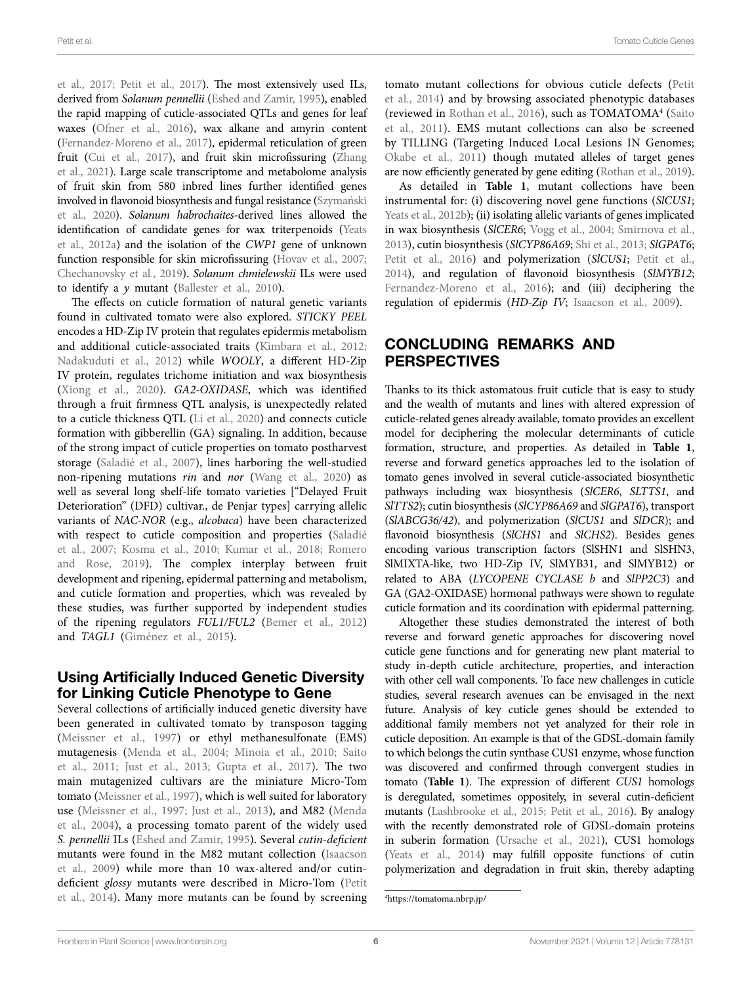[et al., 2017;](#page-6-6) [Petit et al., 2017](#page-8-3)). The most extensively used ILs, derived from *Solanum pennellii* [\(Eshed and Zamir, 1995\)](#page-7-28), enabled the rapid mapping of cuticle-associated QTLs and genes for leaf waxes [\(Ofner et al., 2016](#page-8-28)), wax alkane and amyrin content ([Fernandez-Moreno et al., 2017\)](#page-7-4), epidermal reticulation of green fruit [\(Cui et al., 2017](#page-7-29)), and fruit skin microfissuring ([Zhang](#page-9-4)  [et al., 2021\)](#page-9-4). Large scale transcriptome and metabolome analysis of fruit skin from 580 inbred lines further identified genes involved in flavonoid biosynthesis and fungal resistance [\(Szymański](#page-8-11)  [et al., 2020](#page-8-11)). *Solanum habrochaites*-derived lines allowed the identification of candidate genes for wax triterpenoids ([Yeats](#page-9-3)  [et al., 2012a\)](#page-9-3) and the isolation of the *CWP1* gene of unknown function responsible for skin microfissuring (Hovav et al., 2007; [Chechanovsky et al., 2019](#page-7-26)). *Solanum chmielewskii* ILs were used to identify a *y* mutant ([Ballester et al., 2010](#page-6-3)).

The effects on cuticle formation of natural genetic variants found in cultivated tomato were also explored. *STICKY PEEL* encodes a HD-Zip IV protein that regulates epidermis metabolism and additional cuticle-associated traits ([Kimbara et al., 2012](#page-7-17); [Nadakuduti et al., 2012\)](#page-8-22) while *WOOLY*, a different HD-Zip IV protein, regulates trichome initiation and wax biosynthesis ([Xiong et al., 2020](#page-9-9)). *GA2-OXIDASE*, which was identified through a fruit firmness QTL analysis, is unexpectedly related to a cuticle thickness QTL [\(Li et al., 2020\)](#page-8-12) and connects cuticle formation with gibberellin (GA) signaling. In addition, because of the strong impact of cuticle properties on tomato postharvest storage ([Saladié et al., 2007\)](#page-8-25), lines harboring the well-studied non-ripening mutations *rin* and *nor* [\(Wang et al., 2020\)](#page-9-10) as well as several long shelf-life tomato varieties ["Delayed Fruit Deterioration" (DFD) cultivar., de Penjar types] carrying allelic variants of *NAC-NOR* (e.g., *alcobaca*) have been characterized with respect to cuticle composition and properties ([Saladié](#page-8-25)  [et al., 2007;](#page-8-25) [Kosma et al., 2010;](#page-7-21) [Kumar et al., 2018](#page-8-27); [Romero](#page-8-26)  [and Rose, 2019\)](#page-8-26). The complex interplay between fruit development and ripening, epidermal patterning and metabolism, and cuticle formation and properties, which was revealed by these studies, was further supported by independent studies of the ripening regulators *FUL1/FUL2* [\(Bemer et al., 2012](#page-6-7)) and *TAGL1* ([Giménez et al., 2015\)](#page-7-20).

## Using Artificially Induced Genetic Diversity for Linking Cuticle Phenotype to Gene

Several collections of artificially induced genetic diversity have been generated in cultivated tomato by transposon tagging ([Meissner et al., 1997\)](#page-8-29) or ethyl methanesulfonate (EMS) mutagenesis ([Menda et al., 2004;](#page-8-30) [Minoia et al., 2010;](#page-8-31) [Saito](#page-8-32)  [et al., 2011;](#page-8-32) [Just et al., 2013](#page-7-30); [Gupta et al., 2017\)](#page-7-31). The two main mutagenized cultivars are the miniature Micro-Tom tomato ([Meissner et al., 1997\)](#page-8-29), which is well suited for laboratory use ([Meissner et al., 1997](#page-8-29); [Just et al., 2013\)](#page-7-30), and M82 ([Menda](#page-8-30)  [et al., 2004\)](#page-8-30), a processing tomato parent of the widely used *S. pennellii* ILs ([Eshed and Zamir, 1995\)](#page-7-28). Several *cutin-deficient* mutants were found in the M82 mutant collection ([Isaacson](#page-7-13)  [et al., 2009\)](#page-7-13) while more than 10 wax-altered and/or cutindeficient *glossy* mutants were described in Micro-Tom ([Petit](#page-8-6)  [et al., 2014\)](#page-8-6). Many more mutants can be found by screening

tomato mutant collections for obvious cuticle defects [\(Petit](#page-8-6)  [et al., 2014](#page-8-6)) and by browsing associated phenotypic databases (reviewed in [Rothan et al., 2016](#page-8-33)), such as TOMATOMA<sup>4</sup> (Saito [et al., 2011](#page-8-32)). EMS mutant collections can also be screened by TILLING (Targeting Induced Local Lesions IN Genomes; [Okabe et al., 2011\)](#page-8-34) though mutated alleles of target genes are now efficiently generated by gene editing [\(Rothan et al., 2019\)](#page-8-0).

As detailed in **[Table 1](#page-2-0)**, mutant collections have been instrumental for: (i) discovering novel gene functions (*SlCUS1*; [Yeats et al., 2012b\)](#page-9-6); (ii) isolating allelic variants of genes implicated in wax biosynthesis (*SlCER6*; [Vogg et al., 2004](#page-9-2); [Smirnova et al.,](#page-8-20)  [2013\)](#page-8-20), cutin biosynthesis (*SlCYP86A69*; [Shi et al., 2013](#page-8-5); *SlGPAT6*; [Petit et al., 2016\)](#page-8-13) and polymerization (*SlCUS1*; [Petit et al.,](#page-8-6)  [2014\)](#page-8-6), and regulation of flavonoid biosynthesis (*SlMYB12*; Fernandez-Moreno et al., 2016); and (iii) deciphering the regulation of epidermis (*HD-Zip IV*; [Isaacson et al., 2009\)](#page-7-13).

# CONCLUDING REMARKS AND PERSPECTIVES

Thanks to its thick astomatous fruit cuticle that is easy to study and the wealth of mutants and lines with altered expression of cuticle-related genes already available, tomato provides an excellent model for deciphering the molecular determinants of cuticle formation, structure, and properties. As detailed in **[Table 1](#page-2-0)**, reverse and forward genetics approaches led to the isolation of tomato genes involved in several cuticle-associated biosynthetic pathways including wax biosynthesis (*SlCER6*, *SLTTS1*, and *SlTTS2*); cutin biosynthesis (*SlCYP86A69* and *SlGPAT6*), transport (*SlABCG36/42*), and polymerization (*SlCUS1* and *SlDCR*); and flavonoid biosynthesis (*SlCHS1* and *SlCHS2*). Besides genes encoding various transcription factors (SlSHN1 and SlSHN3, SlMIXTA-like, two HD-Zip IV, SlMYB31, and SlMYB12) or related to ABA (*LYCOPENE CYCLASE b* and *SlPP2C3*) and GA (GA2-OXIDASE) hormonal pathways were shown to regulate cuticle formation and its coordination with epidermal patterning.

Altogether these studies demonstrated the interest of both reverse and forward genetic approaches for discovering novel cuticle gene functions and for generating new plant material to study in-depth cuticle architecture, properties, and interaction with other cell wall components. To face new challenges in cuticle studies, several research avenues can be envisaged in the next future. Analysis of key cuticle genes should be extended to additional family members not yet analyzed for their role in cuticle deposition. An example is that of the GDSL-domain family to which belongs the cutin synthase CUS1 enzyme, whose function was discovered and confirmed through convergent studies in tomato (**[Table 1](#page-2-0)**). The expression of different *CUS1* homologs is deregulated, sometimes oppositely, in several cutin-deficient mutants ([Lashbrooke et al., 2015](#page-8-8); [Petit et al., 2016\)](#page-8-13). By analogy with the recently demonstrated role of GDSL-domain proteins in suberin formation ([Ursache et al., 2021\)](#page-9-11), CUS1 homologs [\(Yeats et al., 2014\)](#page-9-12) may fulfill opposite functions of cutin polymerization and degradation in fruit skin, thereby adapting

<span id="page-5-0"></span><sup>4</sup> <https://tomatoma.nbrp.jp/>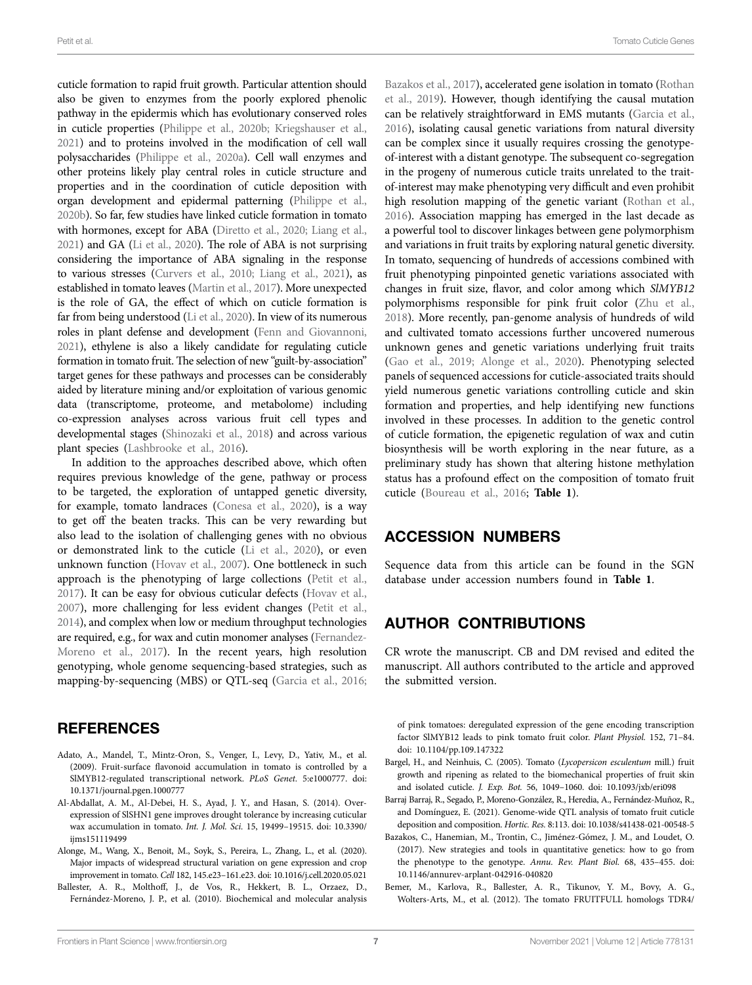cuticle formation to rapid fruit growth. Particular attention should also be given to enzymes from the poorly explored phenolic pathway in the epidermis which has evolutionary conserved roles in cuticle properties [\(Philippe et al., 2020b](#page-8-35); [Kriegshauser et al.,](#page-8-36)  [2021](#page-8-36)) and to proteins involved in the modification of cell wall polysaccharides ([Philippe et al., 2020a\)](#page-8-17). Cell wall enzymes and other proteins likely play central roles in cuticle structure and properties and in the coordination of cuticle deposition with organ development and epidermal patterning [\(Philippe et al.,](#page-8-35)  [2020b\)](#page-8-35). So far, few studies have linked cuticle formation in tomato with hormones, except for ABA [\(Diretto et al., 2020;](#page-7-19) [Liang et al.,](#page-8-23)  [2021](#page-8-23)) and GA [\(Li et al., 2020\)](#page-8-12). The role of ABA is not surprising considering the importance of ABA signaling in the response to various stresses ([Curvers et al., 2010](#page-7-32); [Liang et al., 2021\)](#page-8-23), as established in tomato leaves [\(Martin et al., 2017\)](#page-8-37). More unexpected is the role of GA, the effect of which on cuticle formation is far from being understood [\(Li et al., 2020\)](#page-8-12). In view of its numerous roles in plant defense and development [\(Fenn and Giovannoni,](#page-7-33)  [2021](#page-7-33)), ethylene is also a likely candidate for regulating cuticle formation in tomato fruit. The selection of new "guilt-by-association" target genes for these pathways and processes can be considerably aided by literature mining and/or exploitation of various genomic data (transcriptome, proteome, and metabolome) including co-expression analyses across various fruit cell types and developmental stages [\(Shinozaki et al., 2018](#page-8-10)) and across various plant species [\(Lashbrooke et al., 2016](#page-8-18)).

In addition to the approaches described above, which often requires previous knowledge of the gene, pathway or process to be targeted, the exploration of untapped genetic diversity, for example, tomato landraces ([Conesa et al., 2020\)](#page-7-34), is a way to get off the beaten tracks. This can be very rewarding but also lead to the isolation of challenging genes with no obvious or demonstrated link to the cuticle [\(Li et al., 2020\)](#page-8-12), or even unknown function [\(Hovav et al., 2007](#page-7-2)). One bottleneck in such approach is the phenotyping of large collections ([Petit et al.,](#page-8-3)  [2017](#page-8-3)). It can be easy for obvious cuticular defects ([Hovav et al.,](#page-7-2)  [2007](#page-7-2)), more challenging for less evident changes [\(Petit et al.,](#page-8-6)  [2014](#page-8-6)), and complex when low or medium throughput technologies are required, e.g., for wax and cutin monomer analyses [\(Fernandez-](#page-7-4)[Moreno et al., 2017](#page-7-4)). In the recent years, high resolution genotyping, whole genome sequencing-based strategies, such as mapping-by-sequencing (MBS) or QTL-seq ([Garcia et al., 2016](#page-7-35);

## **REFERENCES**

- <span id="page-6-4"></span>Adato, A., Mandel, T., Mintz-Oron, S., Venger, I., Levy, D., Yativ, M., et al. (2009). Fruit-surface flavonoid accumulation in tomato is controlled by a SlMYB12-regulated transcriptional network. *PLoS Genet.* 5:e1000777. doi: [10.1371/journal.pgen.1000777](https://doi.org/10.1371/journal.pgen.1000777)
- <span id="page-6-2"></span>Al-Abdallat, A. M., Al-Debei, H. S., Ayad, J. Y., and Hasan, S. (2014). Overexpression of SlSHN1 gene improves drought tolerance by increasing cuticular wax accumulation in tomato. *Int. J. Mol. Sci.* 15, 19499–19515. doi: [10.3390/](https://doi.org/10.3390/ijms151119499) [ijms151119499](https://doi.org/10.3390/ijms151119499)
- <span id="page-6-0"></span>Alonge, M., Wang, X., Benoit, M., Soyk, S., Pereira, L., Zhang, L., et al. (2020). Major impacts of widespread structural variation on gene expression and crop improvement in tomato. *Cell* 182, 145.e23–161.e23. doi: [10.1016/j.cell.2020.05.021](https://doi.org/10.1016/j.cell.2020.05.021)
- <span id="page-6-3"></span>Ballester, A. R., Molthoff, J., de Vos, R., Hekkert, B. L., Orzaez, D., Fernández-Moreno, J. P., et al. (2010). Biochemical and molecular analysis

[Bazakos et al., 2017\)](#page-6-6), accelerated gene isolation in tomato [\(Rothan](#page-8-0)  [et al., 2019](#page-8-0)). However, though identifying the causal mutation can be relatively straightforward in EMS mutants [\(Garcia et al.,](#page-7-35)  [2016\)](#page-7-35), isolating causal genetic variations from natural diversity can be complex since it usually requires crossing the genotypeof-interest with a distant genotype. The subsequent co-segregation in the progeny of numerous cuticle traits unrelated to the traitof-interest may make phenotyping very difficult and even prohibit high resolution mapping of the genetic variant ([Rothan et al.,](#page-8-33)  [2016\)](#page-8-33). Association mapping has emerged in the last decade as a powerful tool to discover linkages between gene polymorphism and variations in fruit traits by exploring natural genetic diversity. In tomato, sequencing of hundreds of accessions combined with fruit phenotyping pinpointed genetic variations associated with changes in fruit size, flavor, and color among which *SlMYB12* polymorphisms responsible for pink fruit color [\(Zhu et al.,](#page-9-1)  [2018\)](#page-9-1). More recently, pan-genome analysis of hundreds of wild and cultivated tomato accessions further uncovered numerous unknown genes and genetic variations underlying fruit traits [\(Gao et al., 2019;](#page-7-0) [Alonge et al., 2020](#page-6-0)). Phenotyping selected panels of sequenced accessions for cuticle-associated traits should yield numerous genetic variations controlling cuticle and skin formation and properties, and help identifying new functions involved in these processes. In addition to the genetic control of cuticle formation, the epigenetic regulation of wax and cutin biosynthesis will be worth exploring in the near future, as a preliminary study has shown that altering histone methylation status has a profound effect on the composition of tomato fruit cuticle ([Boureau et al., 2016;](#page-7-27) **[Table 1](#page-2-0)**).

## ACCESSION NUMBERS

Sequence data from this article can be found in the SGN database under accession numbers found in **[Table 1](#page-2-0)**.

# AUTHOR CONTRIBUTIONS

CR wrote the manuscript. CB and DM revised and edited the manuscript. All authors contributed to the article and approved the submitted version.

of pink tomatoes: deregulated expression of the gene encoding transcription factor SlMYB12 leads to pink tomato fruit color. *Plant Physiol.* 152, 71–84. doi: [10.1104/pp.109.147322](https://doi.org/10.1104/pp.109.147322)

- <span id="page-6-1"></span>Bargel, H., and Neinhuis, C. (2005). Tomato (*Lycopersicon esculentum* mill.) fruit growth and ripening as related to the biomechanical properties of fruit skin and isolated cuticle. *J. Exp. Bot.* 56, 1049–1060. doi: [10.1093/jxb/eri098](https://doi.org/10.1093/jxb/eri098)
- <span id="page-6-5"></span>Barraj Barraj, R., Segado, P., Moreno-González, R., Heredia, A., Fernández-Muñoz, R., and Domínguez, E. (2021). Genome-wide QTL analysis of tomato fruit cuticle deposition and composition. *Hortic. Res.* 8:113. doi: [10.1038/s41438-021-00548-5](https://doi.org/10.1038/s41438-021-00548-5)
- <span id="page-6-6"></span>Bazakos, C., Hanemian, M., Trontin, C., Jiménez-Gómez, J. M., and Loudet, O. (2017). New strategies and tools in quantitative genetics: how to go from the phenotype to the genotype. *Annu. Rev. Plant Biol.* 68, 435–455. doi: [10.1146/annurev-arplant-042916-040820](https://doi.org/10.1146/annurev-arplant-042916-040820)
- <span id="page-6-7"></span>Bemer, M., Karlova, R., Ballester, A. R., Tikunov, Y. M., Bovy, A. G., Wolters-Arts, M., et al. (2012). The tomato FRUITFULL homologs TDR4/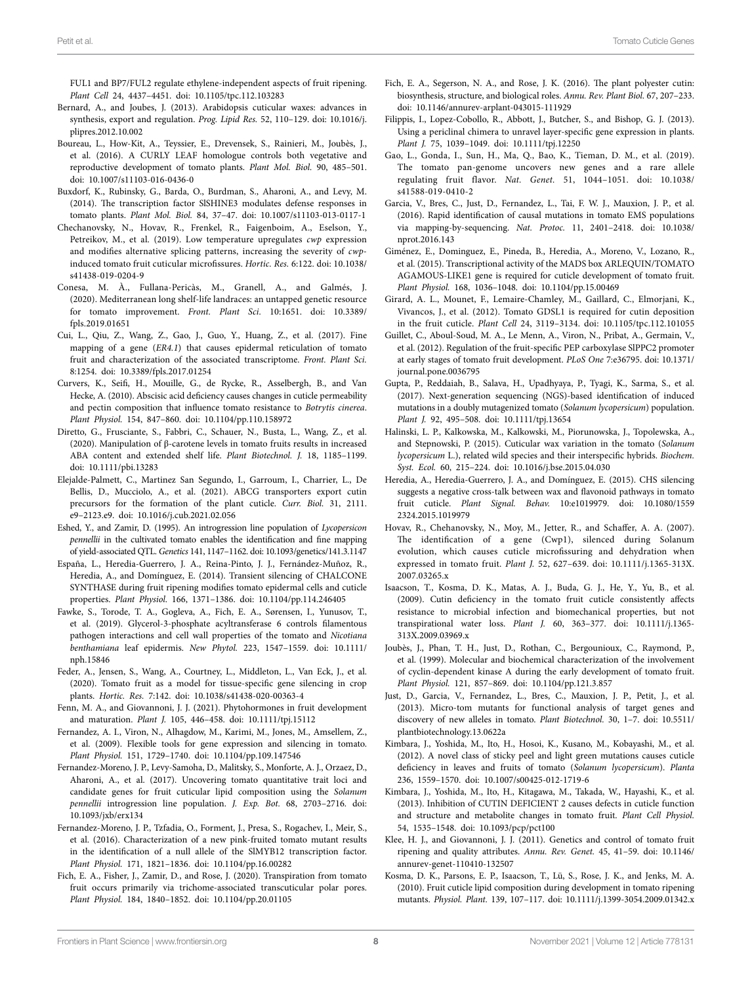FUL1 and BP7/FUL2 regulate ethylene-independent aspects of fruit ripening. *Plant Cell* 24, 4437–4451. doi: [10.1105/tpc.112.103283](https://doi.org/10.1105/tpc.112.103283)

- <span id="page-7-5"></span>Bernard, A., and Joubes, J. (2013). Arabidopsis cuticular waxes: advances in synthesis, export and regulation. *Prog. Lipid Res.* 52, 110–129. doi: [10.1016/j.](https://doi.org/10.1016/j.plipres.2012.10.002) [plipres.2012.10.002](https://doi.org/10.1016/j.plipres.2012.10.002)
- <span id="page-7-27"></span>Boureau, L., How-Kit, A., Teyssier, E., Drevensek, S., Rainieri, M., Joubès, J., et al. (2016). A CURLY LEAF homologue controls both vegetative and reproductive development of tomato plants. *Plant Mol. Biol.* 90, 485–501. doi: [10.1007/s11103-016-0436-0](https://doi.org/10.1007/s11103-016-0436-0)
- <span id="page-7-14"></span>Buxdorf, K., Rubinsky, G., Barda, O., Burdman, S., Aharoni, A., and Levy, M. (2014). The transcription factor SlSHINE3 modulates defense responses in tomato plants. *Plant Mol. Biol.* 84, 37–47. doi: [10.1007/s11103-013-0117-1](https://doi.org/10.1007/s11103-013-0117-1)
- <span id="page-7-26"></span>Chechanovsky, N., Hovav, R., Frenkel, R., Faigenboim, A., Eselson, Y., Petreikov, M., et al. (2019). Low temperature upregulates *cwp* expression and modifies alternative splicing patterns, increasing the severity of *cwp*induced tomato fruit cuticular microfissures. *Hortic. Res.* 6:122. doi: [10.1038/](https://doi.org/10.1038/s41438-019-0204-9) [s41438-019-0204-9](https://doi.org/10.1038/s41438-019-0204-9)
- <span id="page-7-34"></span>Conesa, M. À., Fullana-Pericàs, M., Granell, A., and Galmés, J. (2020). Mediterranean long shelf-life landraces: an untapped genetic resource for tomato improvement. *Front. Plant Sci.* 10:1651. doi: [10.3389/](https://doi.org/10.3389/fpls.2019.01651) [fpls.2019.01651](https://doi.org/10.3389/fpls.2019.01651)
- <span id="page-7-29"></span>Cui, L., Qiu, Z., Wang, Z., Gao, J., Guo, Y., Huang, Z., et al. (2017). Fine mapping of a gene (*ER4.1*) that causes epidermal reticulation of tomato fruit and characterization of the associated transcriptome. *Front. Plant Sci.* 8:1254. doi: [10.3389/fpls.2017.01254](https://doi.org/10.3389/fpls.2017.01254)
- <span id="page-7-32"></span>Curvers, K., Seifi, H., Mouille, G., de Rycke, R., Asselbergh, B., and Van Hecke, A. (2010). Abscisic acid deficiency causes changes in cuticle permeability and pectin composition that influence tomato resistance to *Botrytis cinerea*. *Plant Physiol.* 154, 847–860. doi: [10.1104/pp.110.158972](https://doi.org/10.1104/pp.110.158972)
- <span id="page-7-19"></span>Diretto, G., Frusciante, S., Fabbri, C., Schauer, N., Busta, L., Wang, Z., et al. (2020). Manipulation of β-carotene levels in tomato fruits results in increased ABA content and extended shelf life. *Plant Biotechnol. J.* 18, 1185–1199. doi: [10.1111/pbi.13283](https://doi.org/10.1111/pbi.13283)
- <span id="page-7-7"></span>Elejalde-Palmett, C., Martinez San Segundo, I., Garroum, I., Charrier, L., De Bellis, D., Mucciolo, A., et al. (2021). ABCG transporters export cutin precursors for the formation of the plant cuticle. *Curr. Biol.* 31, 2111. e9–2123.e9. doi: [10.1016/j.cub.2021.02.056](https://doi.org/10.1016/j.cub.2021.02.056)
- <span id="page-7-28"></span>Eshed, Y., and Zamir, D. (1995). An introgression line population of *Lycopersicon pennellii* in the cultivated tomato enables the identification and fine mapping of yield-associated QTL. *Genetics* 141, 1147–1162. doi: [10.1093/genetics/141.3.1147](https://doi.org/10.1093/genetics/141.3.1147)
- <span id="page-7-12"></span>España, L., Heredia-Guerrero, J. A., Reina-Pinto, J. J., Fernández-Muñoz, R., Heredia, A., and Domínguez, E. (2014). Transient silencing of CHALCONE SYNTHASE during fruit ripening modifies tomato epidermal cells and cuticle properties. *Plant Physiol.* 166, 1371–1386. doi: [10.1104/pp.114.246405](https://doi.org/10.1104/pp.114.246405)
- <span id="page-7-15"></span>Fawke, S., Torode, T. A., Gogleva, A., Fich, E. A., Sørensen, I., Yunusov, T., et al. (2019). Glycerol-3-phosphate acyltransferase 6 controls filamentous pathogen interactions and cell wall properties of the tomato and *Nicotiana benthamiana* leaf epidermis. *New Phytol.* 223, 1547–1559. doi: [10.1111/](https://doi.org/10.1111/nph.15846) [nph.15846](https://doi.org/10.1111/nph.15846)
- <span id="page-7-22"></span>Feder, A., Jensen, S., Wang, A., Courtney, L., Middleton, L., Van Eck, J., et al. (2020). Tomato fruit as a model for tissue-specific gene silencing in crop plants. *Hortic. Res.* 7:142. doi: [10.1038/s41438-020-00363-4](https://doi.org/10.1038/s41438-020-00363-4)
- <span id="page-7-33"></span>Fenn, M. A., and Giovannoni, J. J. (2021). Phytohormones in fruit development and maturation. *Plant J.* 105, 446–458. doi: [10.1111/tpj.15112](https://doi.org/10.1111/tpj.15112)
- <span id="page-7-23"></span>Fernandez, A. I., Viron, N., Alhagdow, M., Karimi, M., Jones, M., Amsellem, Z., et al. (2009). Flexible tools for gene expression and silencing in tomato. *Plant Physiol.* 151, 1729–1740. doi: [10.1104/pp.109.147546](https://doi.org/10.1104/pp.109.147546)
- <span id="page-7-4"></span>Fernandez-Moreno, J. P., Levy-Samoha, D., Malitsky, S., Monforte, A. J., Orzaez, D., Aharoni, A., et al. (2017). Uncovering tomato quantitative trait loci and candidate genes for fruit cuticular lipid composition using the *Solanum pennellii* introgression line population. *J. Exp. Bot.* 68, 2703–2716. doi: [10.1093/jxb/erx134](https://doi.org/10.1093/jxb/erx134)
- <span id="page-7-11"></span>Fernandez-Moreno, J. P., Tzfadia, O., Forment, J., Presa, S., Rogachev, I., Meir, S., et al. (2016). Characterization of a new pink-fruited tomato mutant results in the identification of a null allele of the SlMYB12 transcription factor. *Plant Physiol.* 171, 1821–1836. doi: [10.1104/pp.16.00282](https://doi.org/10.1104/pp.16.00282)
- <span id="page-7-25"></span>Fich, E. A., Fisher, J., Zamir, D., and Rose, J. (2020). Transpiration from tomato fruit occurs primarily via trichome-associated transcuticular polar pores. *Plant Physiol.* 184, 1840–1852. doi: [10.1104/pp.20.01105](https://doi.org/10.1104/pp.20.01105)
- <span id="page-7-6"></span>Fich, E. A., Segerson, N. A., and Rose, J. K. (2016). The plant polyester cutin: biosynthesis, structure, and biological roles. *Annu. Rev. Plant Biol.* 67, 207–233. doi: [10.1146/annurev-arplant-043015-111929](https://doi.org/10.1146/annurev-arplant-043015-111929)
- <span id="page-7-10"></span>Filippis, I., Lopez-Cobollo, R., Abbott, J., Butcher, S., and Bishop, G. J. (2013). Using a periclinal chimera to unravel layer-specific gene expression in plants. *Plant J.* 75, 1039–1049. doi: [10.1111/tpj.12250](https://doi.org/10.1111/tpj.12250)
- <span id="page-7-0"></span>Gao, L., Gonda, I., Sun, H., Ma, Q., Bao, K., Tieman, D. M., et al. (2019). The tomato pan-genome uncovers new genes and a rare allele regulating fruit flavor. *Nat. Genet.* 51, 1044–1051. doi: [10.1038/](https://doi.org/10.1038/s41588-019-0410-2) [s41588-019-0410-2](https://doi.org/10.1038/s41588-019-0410-2)
- <span id="page-7-35"></span>Garcia, V., Bres, C., Just, D., Fernandez, L., Tai, F. W. J., Mauxion, J. P., et al. (2016). Rapid identification of causal mutations in tomato EMS populations via mapping-by-sequencing. *Nat. Protoc.* 11, 2401–2418. doi: [10.1038/](https://doi.org/10.1038/nprot.2016.143) [nprot.2016.143](https://doi.org/10.1038/nprot.2016.143)
- <span id="page-7-20"></span>Giménez, E., Dominguez, E., Pineda, B., Heredia, A., Moreno, V., Lozano, R., et al. (2015). Transcriptional activity of the MADS box ARLEQUIN/TOMATO AGAMOUS-LIKE1 gene is required for cuticle development of tomato fruit. *Plant Physiol.* 168, 1036–1048. doi: [10.1104/pp.15.00469](https://doi.org/10.1104/pp.15.00469)
- <span id="page-7-9"></span>Girard, A. L., Mounet, F., Lemaire-Chamley, M., Gaillard, C., Elmorjani, K., Vivancos, J., et al. (2012). Tomato GDSL1 is required for cutin deposition in the fruit cuticle. *Plant Cell* 24, 3119–3134. doi: [10.1105/tpc.112.101055](https://doi.org/10.1105/tpc.112.101055)
- <span id="page-7-24"></span>Guillet, C., Aboul-Soud, M. A., Le Menn, A., Viron, N., Pribat, A., Germain, V., et al. (2012). Regulation of the fruit-specific PEP carboxylase SlPPC2 promoter at early stages of tomato fruit development. *PLoS One* 7:e36795. doi: [10.1371/](https://doi.org/10.1371/journal.pone.0036795) [journal.pone.0036795](https://doi.org/10.1371/journal.pone.0036795)
- <span id="page-7-31"></span>Gupta, P., Reddaiah, B., Salava, H., Upadhyaya, P., Tyagi, K., Sarma, S., et al. (2017). Next-generation sequencing (NGS)-based identification of induced mutations in a doubly mutagenized tomato (*Solanum lycopersicum*) population. *Plant J.* 92, 495–508. doi: [10.1111/tpj.13654](https://doi.org/10.1111/tpj.13654)
- <span id="page-7-3"></span>Halinski, L. P., Kalkowska, M., Kalkowski, M., Piorunowska, J., Topolewska, A., and Stepnowski, P. (2015). Cuticular wax variation in the tomato (*Solanum lycopersicum* L.), related wild species and their interspecific hybrids. *Biochem. Syst. Ecol.* 60, 215–224. doi: [10.1016/j.bse.2015.04.030](https://doi.org/10.1016/j.bse.2015.04.030)
- <span id="page-7-16"></span>Heredia, A., Heredia-Guerrero, J. A., and Domínguez, E. (2015). CHS silencing suggests a negative cross-talk between wax and flavonoid pathways in tomato fruit cuticle. *Plant Signal. Behav.* 10:e1019979. doi: [10.1080/1559](https://doi.org/10.1080/15592324.2015.1019979) [2324.2015.1019979](https://doi.org/10.1080/15592324.2015.1019979)
- <span id="page-7-2"></span>Hovav, R., Chehanovsky, N., Moy, M., Jetter, R., and Schaffer, A. A. (2007). The identification of a gene (Cwp1), silenced during Solanum evolution, which causes cuticle microfissuring and dehydration when expressed in tomato fruit. *Plant J.* 52, 627–639. doi: [10.1111/j.1365-313X.](https://doi.org/10.1111/j.1365-313X.2007.03265.x) [2007.03265.x](https://doi.org/10.1111/j.1365-313X.2007.03265.x)
- <span id="page-7-13"></span>Isaacson, T., Kosma, D. K., Matas, A. J., Buda, G. J., He, Y., Yu, B., et al. (2009). Cutin deficiency in the tomato fruit cuticle consistently affects resistance to microbial infection and biomechanical properties, but not transpirational water loss. *Plant J.* 60, 363–377. doi: [10.1111/j.1365-](https://doi.org/10.1111/j.1365-313X.2009.03969.x) [313X.2009.03969.x](https://doi.org/10.1111/j.1365-313X.2009.03969.x)
- <span id="page-7-8"></span>Joubès, J., Phan, T. H., Just, D., Rothan, C., Bergounioux, C., Raymond, P., et al. (1999). Molecular and biochemical characterization of the involvement of cyclin-dependent kinase A during the early development of tomato fruit. *Plant Physiol.* 121, 857–869. doi: [10.1104/pp.121.3.857](https://doi.org/10.1104/pp.121.3.857)
- <span id="page-7-30"></span>Just, D., Garcia, V., Fernandez, L., Bres, C., Mauxion, J. P., Petit, J., et al. (2013). Micro-tom mutants for functional analysis of target genes and discovery of new alleles in tomato. *Plant Biotechnol.* 30, 1–7. doi: [10.5511/](https://doi.org/10.5511/plantbiotechnology.13.0622a) [plantbiotechnology.13.0622a](https://doi.org/10.5511/plantbiotechnology.13.0622a)
- <span id="page-7-17"></span>Kimbara, J., Yoshida, M., Ito, H., Hosoi, K., Kusano, M., Kobayashi, M., et al. (2012). A novel class of sticky peel and light green mutations causes cuticle deficiency in leaves and fruits of tomato (*Solanum lycopersicum*). *Planta* 236, 1559–1570. doi: [10.1007/s00425-012-1719-6](https://doi.org/10.1007/s00425-012-1719-6)
- <span id="page-7-18"></span>Kimbara, J., Yoshida, M., Ito, H., Kitagawa, M., Takada, W., Hayashi, K., et al. (2013). Inhibition of CUTIN DEFICIENT 2 causes defects in cuticle function and structure and metabolite changes in tomato fruit. *Plant Cell Physiol.* 54, 1535–1548. doi: [10.1093/pcp/pct100](https://doi.org/10.1093/pcp/pct100)
- <span id="page-7-1"></span>Klee, H. J., and Giovannoni, J. J. (2011). Genetics and control of tomato fruit ripening and quality attributes. *Annu. Rev. Genet.* 45, 41–59. doi: [10.1146/](https://doi.org/10.1146/annurev-genet-110410-132507) [annurev-genet-110410-132507](https://doi.org/10.1146/annurev-genet-110410-132507)
- <span id="page-7-21"></span>Kosma, D. K., Parsons, E. P., Isaacson, T., Lü, S., Rose, J. K., and Jenks, M. A. (2010). Fruit cuticle lipid composition during development in tomato ripening mutants. *Physiol. Plant.* 139, 107–117. doi: [10.1111/j.1399-3054.2009.01342.x](https://doi.org/10.1111/j.1399-3054.2009.01342.x)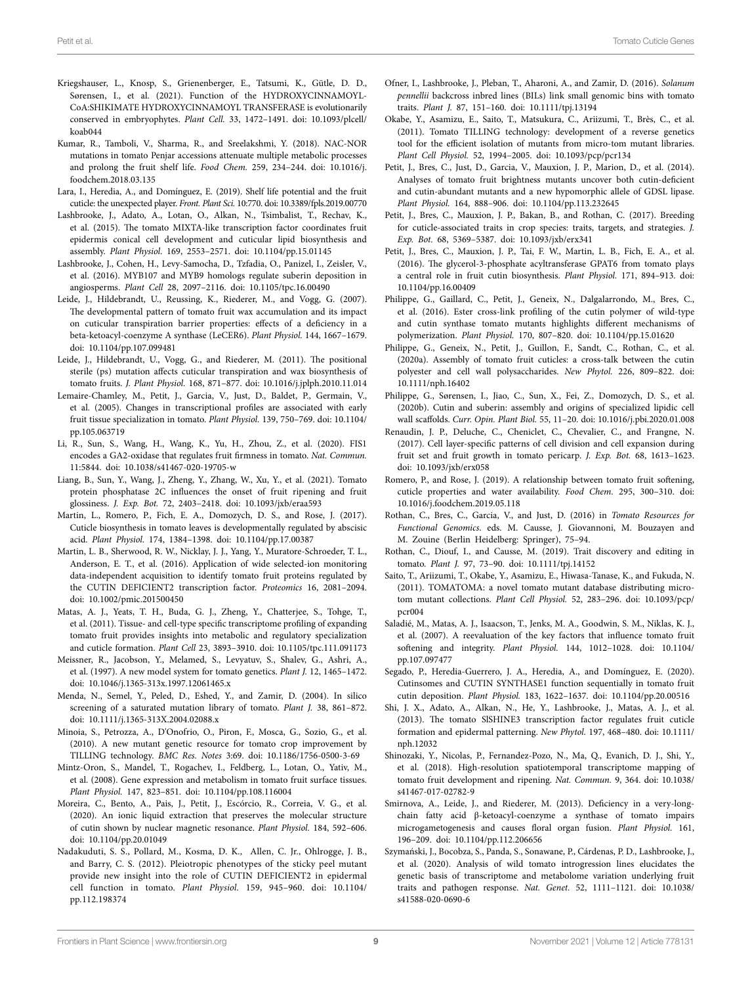- <span id="page-8-36"></span>Kriegshauser, L., Knosp, S., Grienenberger, E., Tatsumi, K., Gütle, D. D., Sørensen, I., et al. (2021). Function of the HYDROXYCINNAMOYL-CoA:SHIKIMATE HYDROXYCINNAMOYL TRANSFERASE is evolutionarily conserved in embryophytes. *Plant Cell.* 33, 1472–1491. doi: [10.1093/plcell/](https://doi.org/10.1093/plcell/koab044) [koab044](https://doi.org/10.1093/plcell/koab044)
- <span id="page-8-27"></span>Kumar, R., Tamboli, V., Sharma, R., and Sreelakshmi, Y. (2018). NAC-NOR mutations in tomato Penjar accessions attenuate multiple metabolic processes and prolong the fruit shelf life. *Food Chem.* 259, 234–244. doi: [10.1016/j.](https://doi.org/10.1016/j.foodchem.2018.03.135) [foodchem.2018.03.135](https://doi.org/10.1016/j.foodchem.2018.03.135)
- <span id="page-8-4"></span>Lara, I., Heredia, A., and Domínguez, E. (2019). Shelf life potential and the fruit cuticle: the unexpected player. *Front. Plant Sci.* 10:770. doi: [10.3389/fpls.2019.00770](https://doi.org/10.3389/fpls.2019.00770)
- <span id="page-8-8"></span>Lashbrooke, J., Adato, A., Lotan, O., Alkan, N., Tsimbalist, T., Rechav, K., et al. (2015). The tomato MIXTA-like transcription factor coordinates fruit epidermis conical cell development and cuticular lipid biosynthesis and assembly. *Plant Physiol.* 169, 2553–2571. doi: [10.1104/pp.15.01145](https://doi.org/10.1104/pp.15.01145)
- <span id="page-8-18"></span>Lashbrooke, J., Cohen, H., Levy-Samocha, D., Tzfadia, O., Panizel, I., Zeisler, V., et al. (2016). MYB107 and MYB9 homologs regulate suberin deposition in angiosperms. *Plant Cell* 28, 2097–2116. doi: [10.1105/tpc.16.00490](https://doi.org/10.1105/tpc.16.00490)
- <span id="page-8-19"></span>Leide, J., Hildebrandt, U., Reussing, K., Riederer, M., and Vogg, G. (2007). The developmental pattern of tomato fruit wax accumulation and its impact on cuticular transpiration barrier properties: effects of a deficiency in a beta-ketoacyl-coenzyme A synthase (LeCER6). *Plant Physiol.* 144, 1667–1679. doi: [10.1104/pp.107.099481](https://doi.org/10.1104/pp.107.099481)
- <span id="page-8-24"></span>Leide, J., Hildebrandt, U., Vogg, G., and Riederer, M. (2011). The positional sterile (ps) mutation affects cuticular transpiration and wax biosynthesis of tomato fruits. *J. Plant Physiol.* 168, 871–877. doi: [10.1016/j.jplph.2010.11.014](https://doi.org/10.1016/j.jplph.2010.11.014)
- <span id="page-8-1"></span>Lemaire-Chamley, M., Petit, J., Garcia, V., Just, D., Baldet, P., Germain, V., et al. (2005). Changes in transcriptional profiles are associated with early fruit tissue specialization in tomato. *Plant Physiol.* 139, 750–769. doi: [10.1104/](https://doi.org/10.1104/pp.105.063719) [pp.105.063719](https://doi.org/10.1104/pp.105.063719)
- <span id="page-8-12"></span>Li, R., Sun, S., Wang, H., Wang, K., Yu, H., Zhou, Z., et al. (2020). FIS1 encodes a GA2-oxidase that regulates fruit firmness in tomato. *Nat. Commun.* 11:5844. doi: [10.1038/s41467-020-19705-w](https://doi.org/10.1038/s41467-020-19705-w)
- <span id="page-8-23"></span>Liang, B., Sun, Y., Wang, J., Zheng, Y., Zhang, W., Xu, Y., et al. (2021). Tomato protein phosphatase 2C influences the onset of fruit ripening and fruit glossiness. *J. Exp. Bot.* 72, 2403–2418. doi: [10.1093/jxb/eraa593](https://doi.org/10.1093/jxb/eraa593)
- <span id="page-8-37"></span>Martin, L., Romero, P., Fich, E. A., Domozych, D. S., and Rose, J. (2017). Cuticle biosynthesis in tomato leaves is developmentally regulated by abscisic acid. *Plant Physiol.* 174, 1384–1398. doi: [10.1104/pp.17.00387](https://doi.org/10.1104/pp.17.00387)
- <span id="page-8-21"></span>Martin, L. B., Sherwood, R. W., Nicklay, J. J., Yang, Y., Muratore-Schroeder, T. L., Anderson, E. T., et al. (2016). Application of wide selected-ion monitoring data-independent acquisition to identify tomato fruit proteins regulated by the CUTIN DEFICIENT2 transcription factor. *Proteomics* 16, 2081–2094. doi: [10.1002/pmic.201500450](https://doi.org/10.1002/pmic.201500450)
- <span id="page-8-9"></span>Matas, A. J., Yeats, T. H., Buda, G. J., Zheng, Y., Chatterjee, S., Tohge, T., et al. (2011). Tissue- and cell-type specific transcriptome profiling of expanding tomato fruit provides insights into metabolic and regulatory specialization and cuticle formation. *Plant Cell* 23, 3893–3910. doi: [10.1105/tpc.111.091173](https://doi.org/10.1105/tpc.111.091173)
- <span id="page-8-29"></span>Meissner, R., Jacobson, Y., Melamed, S., Levyatuv, S., Shalev, G., Ashri, A., et al. (1997). A new model system for tomato genetics. *Plant J.* 12, 1465–1472. doi: [10.1046/j.1365-313x.1997.12061465.x](https://doi.org/10.1046/j.1365-313x.1997.12061465.x)
- <span id="page-8-30"></span>Menda, N., Semel, Y., Peled, D., Eshed, Y., and Zamir, D. (2004). In silico screening of a saturated mutation library of tomato. *Plant J.* 38, 861–872. doi: [10.1111/j.1365-313X.2004.02088.x](https://doi.org/10.1111/j.1365-313X.2004.02088.x)
- <span id="page-8-31"></span>Minoia, S., Petrozza, A., D'Onofrio, O., Piron, F., Mosca, G., Sozio, G., et al. (2010). A new mutant genetic resource for tomato crop improvement by TILLING technology. *BMC Res. Notes* 3:69. doi: [10.1186/1756-0500-3-69](https://doi.org/10.1186/1756-0500-3-69)
- <span id="page-8-2"></span>Mintz-Oron, S., Mandel, T., Rogachev, I., Feldberg, L., Lotan, O., Yativ, M., et al. (2008). Gene expression and metabolism in tomato fruit surface tissues. *Plant Physiol.* 147, 823–851. doi: [10.1104/pp.108.116004](https://doi.org/10.1104/pp.108.116004)
- <span id="page-8-15"></span>Moreira, C., Bento, A., Pais, J., Petit, J., Escórcio, R., Correia, V. G., et al. (2020). An ionic liquid extraction that preserves the molecular structure of cutin shown by nuclear magnetic resonance. *Plant Physiol.* 184, 592–606. doi: [10.1104/pp.20.01049](https://doi.org/10.1104/pp.20.01049)
- <span id="page-8-22"></span>Nadakuduti, S. S., Pollard, M., Kosma, D. K., Allen, C. Jr., Ohlrogge, J. B., and Barry, C. S. (2012). Pleiotropic phenotypes of the sticky peel mutant provide new insight into the role of CUTIN DEFICIENT2 in epidermal cell function in tomato. *Plant Physiol.* 159, 945–960. doi: [10.1104/](https://doi.org/10.1104/pp.112.198374) [pp.112.198374](https://doi.org/10.1104/pp.112.198374)
- <span id="page-8-28"></span>Ofner, I., Lashbrooke, J., Pleban, T., Aharoni, A., and Zamir, D. (2016). *Solanum pennellii* backcross inbred lines (BILs) link small genomic bins with tomato traits. *Plant J.* 87, 151–160. doi: [10.1111/tpj.13194](https://doi.org/10.1111/tpj.13194)
- <span id="page-8-34"></span>Okabe, Y., Asamizu, E., Saito, T., Matsukura, C., Ariizumi, T., Brès, C., et al. (2011). Tomato TILLING technology: development of a reverse genetics tool for the efficient isolation of mutants from micro-tom mutant libraries. *Plant Cell Physiol.* 52, 1994–2005. doi: [10.1093/pcp/pcr134](https://doi.org/10.1093/pcp/pcr134)
- <span id="page-8-6"></span>Petit, J., Bres, C., Just, D., Garcia, V., Mauxion, J. P., Marion, D., et al. (2014). Analyses of tomato fruit brightness mutants uncover both cutin-deficient and cutin-abundant mutants and a new hypomorphic allele of GDSL lipase. *Plant Physiol.* 164, 888–906. doi: [10.1104/pp.113.232645](https://doi.org/10.1104/pp.113.232645)
- <span id="page-8-3"></span>Petit, J., Bres, C., Mauxion, J. P., Bakan, B., and Rothan, C. (2017). Breeding for cuticle-associated traits in crop species: traits, targets, and strategies. *J. Exp. Bot.* 68, 5369–5387. doi: [10.1093/jxb/erx341](https://doi.org/10.1093/jxb/erx341)
- <span id="page-8-13"></span>Petit, J., Bres, C., Mauxion, J. P., Tai, F. W., Martin, L. B., Fich, E. A., et al. (2016). The glycerol-3-phosphate acyltransferase GPAT6 from tomato plays a central role in fruit cutin biosynthesis. *Plant Physiol.* 171, 894–913. doi: [10.1104/pp.16.00409](https://doi.org/10.1104/pp.16.00409)
- <span id="page-8-14"></span>Philippe, G., Gaillard, C., Petit, J., Geneix, N., Dalgalarrondo, M., Bres, C., et al. (2016). Ester cross-link profiling of the cutin polymer of wild-type and cutin synthase tomato mutants highlights different mechanisms of polymerization. *Plant Physiol.* 170, 807–820. doi: [10.1104/pp.15.01620](https://doi.org/10.1104/pp.15.01620)
- <span id="page-8-17"></span>Philippe, G., Geneix, N., Petit, J., Guillon, F., Sandt, C., Rothan, C., et al. (2020a). Assembly of tomato fruit cuticles: a cross-talk between the cutin polyester and cell wall polysaccharides. *New Phytol.* 226, 809–822. doi: [10.1111/nph.16402](https://doi.org/10.1111/nph.16402)
- <span id="page-8-35"></span>Philippe, G., Sørensen, I., Jiao, C., Sun, X., Fei, Z., Domozych, D. S., et al. (2020b). Cutin and suberin: assembly and origins of specialized lipidic cell wall scaffolds. *Curr. Opin. Plant Biol.* 55, 11–20. doi: [10.1016/j.pbi.2020.01.008](https://doi.org/10.1016/j.pbi.2020.01.008)
- <span id="page-8-7"></span>Renaudin, J. P., Deluche, C., Cheniclet, C., Chevalier, C., and Frangne, N. (2017). Cell layer-specific patterns of cell division and cell expansion during fruit set and fruit growth in tomato pericarp. *J. Exp. Bot.* 68, 1613–1623. doi: [10.1093/jxb/erx058](https://doi.org/10.1093/jxb/erx058)
- <span id="page-8-26"></span>Romero, P., and Rose, J. (2019). A relationship between tomato fruit softening, cuticle properties and water availability. *Food Chem.* 295, 300–310. doi: [10.1016/j.foodchem.2019.05.118](https://doi.org/10.1016/j.foodchem.2019.05.118)
- <span id="page-8-33"></span>Rothan, C., Bres, C., Garcia, V., and Just, D. (2016) in *Tomato Resources for Functional Genomics*. eds. M. Causse, J. Giovannoni, M. Bouzayen and M. Zouine (Berlin Heidelberg: Springer), 75–94.
- <span id="page-8-0"></span>Rothan, C., Diouf, I., and Causse, M. (2019). Trait discovery and editing in tomato. *Plant J.* 97, 73–90. doi: [10.1111/tpj.14152](https://doi.org/10.1111/tpj.14152)
- <span id="page-8-32"></span>Saito, T., Ariizumi, T., Okabe, Y., Asamizu, E., Hiwasa-Tanase, K., and Fukuda, N. (2011). TOMATOMA: a novel tomato mutant database distributing microtom mutant collections. *Plant Cell Physiol.* 52, 283–296. doi: [10.1093/pcp/](https://doi.org/10.1093/pcp/pcr004) [pcr004](https://doi.org/10.1093/pcp/pcr004)
- <span id="page-8-25"></span>Saladié, M., Matas, A. J., Isaacson, T., Jenks, M. A., Goodwin, S. M., Niklas, K. J., et al. (2007). A reevaluation of the key factors that influence tomato fruit softening and integrity. *Plant Physiol.* 144, 1012–1028. doi: [10.1104/](https://doi.org/10.1104/pp.107.097477) [pp.107.097477](https://doi.org/10.1104/pp.107.097477)
- <span id="page-8-16"></span>Segado, P., Heredia-Guerrero, J. A., Heredia, A., and Domínguez, E. (2020). Cutinsomes and CUTIN SYNTHASE1 function sequentially in tomato fruit cutin deposition. *Plant Physiol.* 183, 1622–1637. doi: [10.1104/pp.20.00516](https://doi.org/10.1104/pp.20.00516)
- <span id="page-8-5"></span>Shi, J. X., Adato, A., Alkan, N., He, Y., Lashbrooke, J., Matas, A. J., et al. (2013). The tomato SlSHINE3 transcription factor regulates fruit cuticle formation and epidermal patterning. *New Phytol.* 197, 468–480. doi: [10.1111/](https://doi.org/10.1111/nph.12032) [nph.12032](https://doi.org/10.1111/nph.12032)
- <span id="page-8-10"></span>Shinozaki, Y., Nicolas, P., Fernandez-Pozo, N., Ma, Q., Evanich, D. J., Shi, Y., et al. (2018). High-resolution spatiotemporal transcriptome mapping of tomato fruit development and ripening. *Nat. Commun.* 9, 364. doi: [10.1038/](https://doi.org/10.1038/s41467-017-02782-9) [s41467-017-02782-9](https://doi.org/10.1038/s41467-017-02782-9)
- <span id="page-8-20"></span>Smirnova, A., Leide, J., and Riederer, M. (2013). Deficiency in a very-longchain fatty acid β-ketoacyl-coenzyme a synthase of tomato impairs microgametogenesis and causes floral organ fusion. *Plant Physiol.* 161, 196–209. doi: [10.1104/pp.112.206656](https://doi.org/10.1104/pp.112.206656)
- <span id="page-8-11"></span>Szymański, J., Bocobza, S., Panda, S., Sonawane, P., Cárdenas, P. D., Lashbrooke, J., et al. (2020). Analysis of wild tomato introgression lines elucidates the genetic basis of transcriptome and metabolome variation underlying fruit traits and pathogen response. *Nat. Genet.* 52, 1111–1121. doi: [10.1038/](https://doi.org/10.1038/s41588-020-0690-6) [s41588-020-0690-6](https://doi.org/10.1038/s41588-020-0690-6)